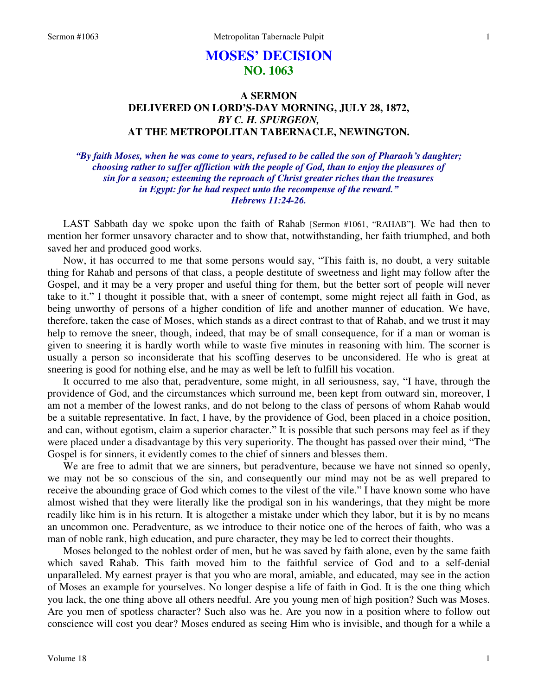# **MOSES' DECISION NO. 1063**

## **A SERMON DELIVERED ON LORD'S-DAY MORNING, JULY 28, 1872,**  *BY C. H. SPURGEON,*  **AT THE METROPOLITAN TABERNACLE, NEWINGTON.**

*"By faith Moses, when he was come to years, refused to be called the son of Pharaoh's daughter; choosing rather to suffer affliction with the people of God, than to enjoy the pleasures of sin for a season; esteeming the reproach of Christ greater riches than the treasures in Egypt: for he had respect unto the recompense of the reward." Hebrews 11:24-26.* 

LAST Sabbath day we spoke upon the faith of Rahab [Sermon #1061, "RAHAB"]. We had then to mention her former unsavory character and to show that, notwithstanding, her faith triumphed, and both saved her and produced good works.

Now, it has occurred to me that some persons would say, "This faith is, no doubt, a very suitable thing for Rahab and persons of that class, a people destitute of sweetness and light may follow after the Gospel, and it may be a very proper and useful thing for them, but the better sort of people will never take to it." I thought it possible that, with a sneer of contempt, some might reject all faith in God, as being unworthy of persons of a higher condition of life and another manner of education. We have, therefore, taken the case of Moses, which stands as a direct contrast to that of Rahab, and we trust it may help to remove the sneer, though, indeed, that may be of small consequence, for if a man or woman is given to sneering it is hardly worth while to waste five minutes in reasoning with him. The scorner is usually a person so inconsiderate that his scoffing deserves to be unconsidered. He who is great at sneering is good for nothing else, and he may as well be left to fulfill his vocation.

It occurred to me also that, peradventure, some might, in all seriousness, say, "I have, through the providence of God, and the circumstances which surround me, been kept from outward sin, moreover, I am not a member of the lowest ranks, and do not belong to the class of persons of whom Rahab would be a suitable representative. In fact, I have, by the providence of God, been placed in a choice position, and can, without egotism, claim a superior character." It is possible that such persons may feel as if they were placed under a disadvantage by this very superiority. The thought has passed over their mind, "The Gospel is for sinners, it evidently comes to the chief of sinners and blesses them.

We are free to admit that we are sinners, but peradventure, because we have not sinned so openly, we may not be so conscious of the sin, and consequently our mind may not be as well prepared to receive the abounding grace of God which comes to the vilest of the vile." I have known some who have almost wished that they were literally like the prodigal son in his wanderings, that they might be more readily like him is in his return. It is altogether a mistake under which they labor, but it is by no means an uncommon one. Peradventure, as we introduce to their notice one of the heroes of faith, who was a man of noble rank, high education, and pure character, they may be led to correct their thoughts.

Moses belonged to the noblest order of men, but he was saved by faith alone, even by the same faith which saved Rahab. This faith moved him to the faithful service of God and to a self-denial unparalleled. My earnest prayer is that you who are moral, amiable, and educated, may see in the action of Moses an example for yourselves. No longer despise a life of faith in God. It is the one thing which you lack, the one thing above all others needful. Are you young men of high position? Such was Moses. Are you men of spotless character? Such also was he. Are you now in a position where to follow out conscience will cost you dear? Moses endured as seeing Him who is invisible, and though for a while a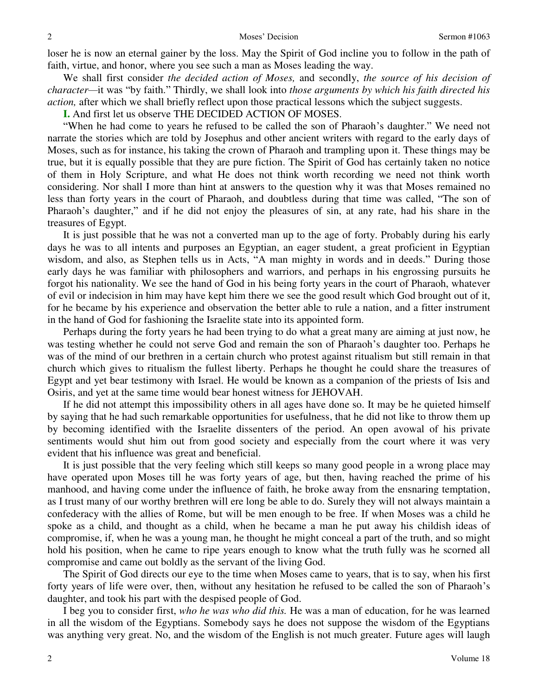loser he is now an eternal gainer by the loss. May the Spirit of God incline you to follow in the path of faith, virtue, and honor, where you see such a man as Moses leading the way.

We shall first consider *the decided action of Moses,* and secondly, *the source of his decision of character—*it was "by faith." Thirdly, we shall look into *those arguments by which his faith directed his action,* after which we shall briefly reflect upon those practical lessons which the subject suggests.

**I.** And first let us observe THE DECIDED ACTION OF MOSES.

"When he had come to years he refused to be called the son of Pharaoh's daughter." We need not narrate the stories which are told by Josephus and other ancient writers with regard to the early days of Moses, such as for instance, his taking the crown of Pharaoh and trampling upon it. These things may be true, but it is equally possible that they are pure fiction. The Spirit of God has certainly taken no notice of them in Holy Scripture, and what He does not think worth recording we need not think worth considering. Nor shall I more than hint at answers to the question why it was that Moses remained no less than forty years in the court of Pharaoh, and doubtless during that time was called, "The son of Pharaoh's daughter," and if he did not enjoy the pleasures of sin, at any rate, had his share in the treasures of Egypt.

It is just possible that he was not a converted man up to the age of forty. Probably during his early days he was to all intents and purposes an Egyptian, an eager student, a great proficient in Egyptian wisdom, and also, as Stephen tells us in Acts, "A man mighty in words and in deeds." During those early days he was familiar with philosophers and warriors, and perhaps in his engrossing pursuits he forgot his nationality. We see the hand of God in his being forty years in the court of Pharaoh, whatever of evil or indecision in him may have kept him there we see the good result which God brought out of it, for he became by his experience and observation the better able to rule a nation, and a fitter instrument in the hand of God for fashioning the Israelite state into its appointed form.

Perhaps during the forty years he had been trying to do what a great many are aiming at just now, he was testing whether he could not serve God and remain the son of Pharaoh's daughter too. Perhaps he was of the mind of our brethren in a certain church who protest against ritualism but still remain in that church which gives to ritualism the fullest liberty. Perhaps he thought he could share the treasures of Egypt and yet bear testimony with Israel. He would be known as a companion of the priests of Isis and Osiris, and yet at the same time would bear honest witness for JEHOVAH.

If he did not attempt this impossibility others in all ages have done so. It may be he quieted himself by saying that he had such remarkable opportunities for usefulness, that he did not like to throw them up by becoming identified with the Israelite dissenters of the period. An open avowal of his private sentiments would shut him out from good society and especially from the court where it was very evident that his influence was great and beneficial.

It is just possible that the very feeling which still keeps so many good people in a wrong place may have operated upon Moses till he was forty years of age, but then, having reached the prime of his manhood, and having come under the influence of faith, he broke away from the ensnaring temptation, as I trust many of our worthy brethren will ere long be able to do. Surely they will not always maintain a confederacy with the allies of Rome, but will be men enough to be free. If when Moses was a child he spoke as a child, and thought as a child, when he became a man he put away his childish ideas of compromise, if, when he was a young man, he thought he might conceal a part of the truth, and so might hold his position, when he came to ripe years enough to know what the truth fully was he scorned all compromise and came out boldly as the servant of the living God.

The Spirit of God directs our eye to the time when Moses came to years, that is to say, when his first forty years of life were over, then, without any hesitation he refused to be called the son of Pharaoh's daughter, and took his part with the despised people of God.

I beg you to consider first, *who he was who did this.* He was a man of education, for he was learned in all the wisdom of the Egyptians. Somebody says he does not suppose the wisdom of the Egyptians was anything very great. No, and the wisdom of the English is not much greater. Future ages will laugh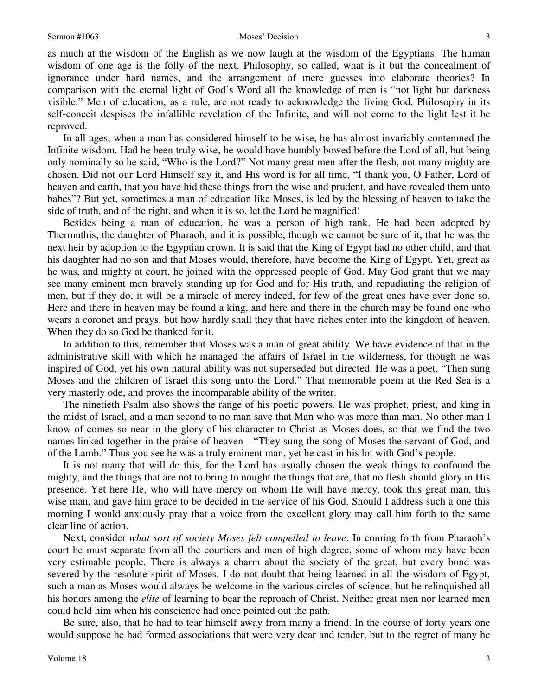as much at the wisdom of the English as we now laugh at the wisdom of the Egyptians. The human wisdom of one age is the folly of the next. Philosophy, so called, what is it but the concealment of ignorance under hard names, and the arrangement of mere guesses into elaborate theories? In comparison with the eternal light of God's Word all the knowledge of men is "not light but darkness visible." Men of education, as a rule, are not ready to acknowledge the living God. Philosophy in its self-conceit despises the infallible revelation of the Infinite, and will not come to the light lest it be reproved.

In all ages, when a man has considered himself to be wise, he has almost invariably contemned the Infinite wisdom. Had he been truly wise, he would have humbly bowed before the Lord of all, but being only nominally so he said, "Who is the Lord?" Not many great men after the flesh, not many mighty are chosen. Did not our Lord Himself say it, and His word is for all time, "I thank you, O Father, Lord of heaven and earth, that you have hid these things from the wise and prudent, and have revealed them unto babes"? But yet, sometimes a man of education like Moses, is led by the blessing of heaven to take the side of truth, and of the right, and when it is so, let the Lord be magnified!

Besides being a man of education, he was a person of high rank. He had been adopted by Thermuthis, the daughter of Pharaoh, and it is possible, though we cannot be sure of it, that he was the next heir by adoption to the Egyptian crown. It is said that the King of Egypt had no other child, and that his daughter had no son and that Moses would, therefore, have become the King of Egypt. Yet, great as he was, and mighty at court, he joined with the oppressed people of God. May God grant that we may see many eminent men bravely standing up for God and for His truth, and repudiating the religion of men, but if they do, it will be a miracle of mercy indeed, for few of the great ones have ever done so. Here and there in heaven may be found a king, and here and there in the church may be found one who wears a coronet and prays, but how hardly shall they that have riches enter into the kingdom of heaven. When they do so God be thanked for it.

In addition to this, remember that Moses was a man of great ability. We have evidence of that in the administrative skill with which he managed the affairs of Israel in the wilderness, for though he was inspired of God, yet his own natural ability was not superseded but directed. He was a poet, "Then sung Moses and the children of Israel this song unto the Lord." That memorable poem at the Red Sea is a very masterly ode, and proves the incomparable ability of the writer.

The ninetieth Psalm also shows the range of his poetic powers. He was prophet, priest, and king in the midst of Israel, and a man second to no man save that Man who was more than man. No other man I know of comes so near in the glory of his character to Christ as Moses does, so that we find the two names linked together in the praise of heaven—"They sung the song of Moses the servant of God, and of the Lamb." Thus you see he was a truly eminent man, yet he cast in his lot with God's people.

It is not many that will do this, for the Lord has usually chosen the weak things to confound the mighty, and the things that are not to bring to nought the things that are, that no flesh should glory in His presence. Yet here He, who will have mercy on whom He will have mercy, took this great man, this wise man, and gave him grace to be decided in the service of his God. Should I address such a one this morning I would anxiously pray that a voice from the excellent glory may call him forth to the same clear line of action.

Next, consider *what sort of society Moses felt compelled to leave*. In coming forth from Pharaoh's court he must separate from all the courtiers and men of high degree, some of whom may have been very estimable people. There is always a charm about the society of the great, but every bond was severed by the resolute spirit of Moses. I do not doubt that being learned in all the wisdom of Egypt, such a man as Moses would always be welcome in the various circles of science, but he relinquished all his honors among the *elite* of learning to bear the reproach of Christ. Neither great men nor learned men could hold him when his conscience had once pointed out the path.

Be sure, also, that he had to tear himself away from many a friend. In the course of forty years one would suppose he had formed associations that were very dear and tender, but to the regret of many he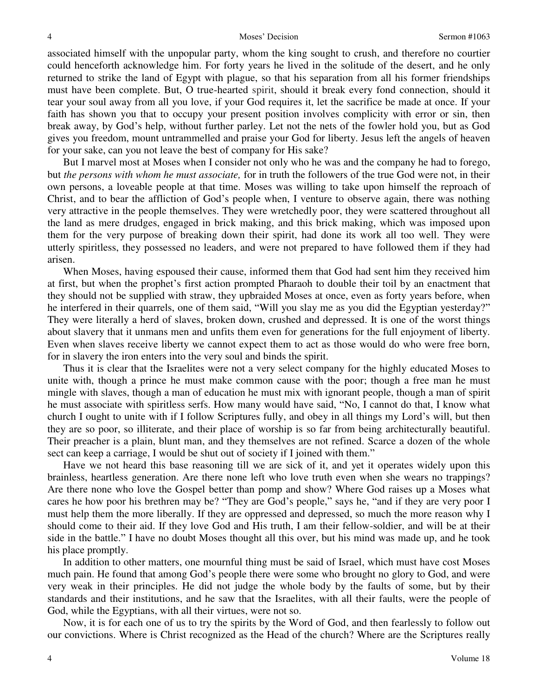associated himself with the unpopular party, whom the king sought to crush, and therefore no courtier could henceforth acknowledge him. For forty years he lived in the solitude of the desert, and he only returned to strike the land of Egypt with plague, so that his separation from all his former friendships must have been complete. But, O true-hearted spirit, should it break every fond connection, should it tear your soul away from all you love, if your God requires it, let the sacrifice be made at once. If your faith has shown you that to occupy your present position involves complicity with error or sin, then break away, by God's help, without further parley. Let not the nets of the fowler hold you, but as God gives you freedom, mount untrammelled and praise your God for liberty. Jesus left the angels of heaven for your sake, can you not leave the best of company for His sake?

But I marvel most at Moses when I consider not only who he was and the company he had to forego, but *the persons with whom he must associate,* for in truth the followers of the true God were not, in their own persons, a loveable people at that time. Moses was willing to take upon himself the reproach of Christ, and to bear the affliction of God's people when, I venture to observe again, there was nothing very attractive in the people themselves. They were wretchedly poor, they were scattered throughout all the land as mere drudges, engaged in brick making, and this brick making, which was imposed upon them for the very purpose of breaking down their spirit, had done its work all too well. They were utterly spiritless, they possessed no leaders, and were not prepared to have followed them if they had arisen.

When Moses, having espoused their cause, informed them that God had sent him they received him at first, but when the prophet's first action prompted Pharaoh to double their toil by an enactment that they should not be supplied with straw, they upbraided Moses at once, even as forty years before, when he interfered in their quarrels, one of them said, "Will you slay me as you did the Egyptian yesterday?" They were literally a herd of slaves, broken down, crushed and depressed. It is one of the worst things about slavery that it unmans men and unfits them even for generations for the full enjoyment of liberty. Even when slaves receive liberty we cannot expect them to act as those would do who were free born, for in slavery the iron enters into the very soul and binds the spirit.

Thus it is clear that the Israelites were not a very select company for the highly educated Moses to unite with, though a prince he must make common cause with the poor; though a free man he must mingle with slaves, though a man of education he must mix with ignorant people, though a man of spirit he must associate with spiritless serfs. How many would have said, "No, I cannot do that, I know what church I ought to unite with if I follow Scriptures fully, and obey in all things my Lord's will, but then they are so poor, so illiterate, and their place of worship is so far from being architecturally beautiful. Their preacher is a plain, blunt man, and they themselves are not refined. Scarce a dozen of the whole sect can keep a carriage, I would be shut out of society if I joined with them."

Have we not heard this base reasoning till we are sick of it, and yet it operates widely upon this brainless, heartless generation. Are there none left who love truth even when she wears no trappings? Are there none who love the Gospel better than pomp and show? Where God raises up a Moses what cares he how poor his brethren may be? "They are God's people," says he, "and if they are very poor I must help them the more liberally. If they are oppressed and depressed, so much the more reason why I should come to their aid. If they love God and His truth, I am their fellow-soldier, and will be at their side in the battle." I have no doubt Moses thought all this over, but his mind was made up, and he took his place promptly.

In addition to other matters, one mournful thing must be said of Israel, which must have cost Moses much pain. He found that among God's people there were some who brought no glory to God, and were very weak in their principles. He did not judge the whole body by the faults of some, but by their standards and their institutions, and he saw that the Israelites, with all their faults, were the people of God, while the Egyptians, with all their virtues, were not so.

Now, it is for each one of us to try the spirits by the Word of God, and then fearlessly to follow out our convictions. Where is Christ recognized as the Head of the church? Where are the Scriptures really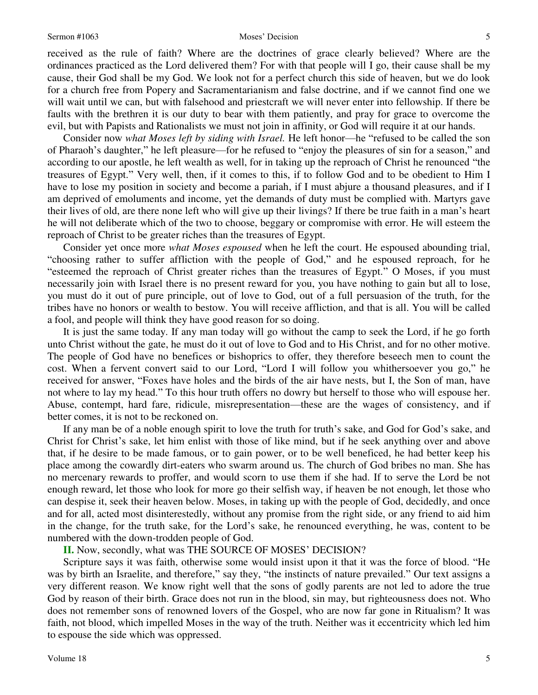### Sermon #1063 Moses' Decision

received as the rule of faith? Where are the doctrines of grace clearly believed? Where are the ordinances practiced as the Lord delivered them? For with that people will I go, their cause shall be my cause, their God shall be my God. We look not for a perfect church this side of heaven, but we do look for a church free from Popery and Sacramentarianism and false doctrine, and if we cannot find one we will wait until we can, but with falsehood and priestcraft we will never enter into fellowship. If there be faults with the brethren it is our duty to bear with them patiently, and pray for grace to overcome the evil, but with Papists and Rationalists we must not join in affinity, or God will require it at our hands.

Consider now *what Moses left by siding with Israel.* He left honor—he "refused to be called the son of Pharaoh's daughter," he left pleasure—for he refused to "enjoy the pleasures of sin for a season," and according to our apostle, he left wealth as well, for in taking up the reproach of Christ he renounced "the treasures of Egypt." Very well, then, if it comes to this, if to follow God and to be obedient to Him I have to lose my position in society and become a pariah, if I must abjure a thousand pleasures, and if I am deprived of emoluments and income, yet the demands of duty must be complied with. Martyrs gave their lives of old, are there none left who will give up their livings? If there be true faith in a man's heart he will not deliberate which of the two to choose, beggary or compromise with error. He will esteem the reproach of Christ to be greater riches than the treasures of Egypt.

Consider yet once more *what Moses espoused* when he left the court. He espoused abounding trial, "choosing rather to suffer affliction with the people of God," and he espoused reproach, for he "esteemed the reproach of Christ greater riches than the treasures of Egypt." O Moses, if you must necessarily join with Israel there is no present reward for you, you have nothing to gain but all to lose, you must do it out of pure principle, out of love to God, out of a full persuasion of the truth, for the tribes have no honors or wealth to bestow. You will receive affliction, and that is all. You will be called a fool, and people will think they have good reason for so doing.

It is just the same today. If any man today will go without the camp to seek the Lord, if he go forth unto Christ without the gate, he must do it out of love to God and to His Christ, and for no other motive. The people of God have no benefices or bishoprics to offer, they therefore beseech men to count the cost. When a fervent convert said to our Lord, "Lord I will follow you whithersoever you go," he received for answer, "Foxes have holes and the birds of the air have nests, but I, the Son of man, have not where to lay my head." To this hour truth offers no dowry but herself to those who will espouse her. Abuse, contempt, hard fare, ridicule, misrepresentation—these are the wages of consistency, and if better comes, it is not to be reckoned on.

If any man be of a noble enough spirit to love the truth for truth's sake, and God for God's sake, and Christ for Christ's sake, let him enlist with those of like mind, but if he seek anything over and above that, if he desire to be made famous, or to gain power, or to be well beneficed, he had better keep his place among the cowardly dirt-eaters who swarm around us. The church of God bribes no man. She has no mercenary rewards to proffer, and would scorn to use them if she had. If to serve the Lord be not enough reward, let those who look for more go their selfish way, if heaven be not enough, let those who can despise it, seek their heaven below. Moses, in taking up with the people of God, decidedly, and once and for all, acted most disinterestedly, without any promise from the right side, or any friend to aid him in the change, for the truth sake, for the Lord's sake, he renounced everything, he was, content to be numbered with the down-trodden people of God.

**II.** Now, secondly, what was THE SOURCE OF MOSES' DECISION?

Scripture says it was faith, otherwise some would insist upon it that it was the force of blood. "He was by birth an Israelite, and therefore," say they, "the instincts of nature prevailed." Our text assigns a very different reason. We know right well that the sons of godly parents are not led to adore the true God by reason of their birth. Grace does not run in the blood, sin may, but righteousness does not. Who does not remember sons of renowned lovers of the Gospel, who are now far gone in Ritualism? It was faith, not blood, which impelled Moses in the way of the truth. Neither was it eccentricity which led him to espouse the side which was oppressed.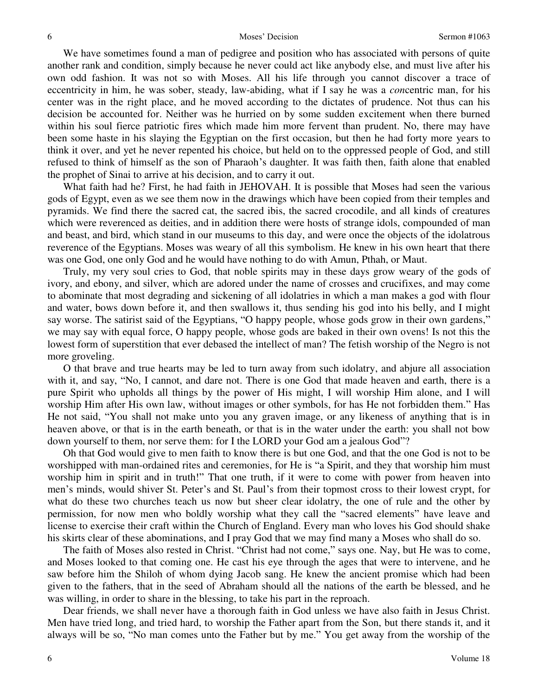We have sometimes found a man of pedigree and position who has associated with persons of quite another rank and condition, simply because he never could act like anybody else, and must live after his own odd fashion. It was not so with Moses. All his life through you cannot discover a trace of eccentricity in him, he was sober, steady, law-abiding, what if I say he was a *con*centric man, for his center was in the right place, and he moved according to the dictates of prudence. Not thus can his decision be accounted for. Neither was he hurried on by some sudden excitement when there burned within his soul fierce patriotic fires which made him more fervent than prudent. No, there may have been some haste in his slaying the Egyptian on the first occasion, but then he had forty more years to think it over, and yet he never repented his choice, but held on to the oppressed people of God, and still refused to think of himself as the son of Pharaoh's daughter. It was faith then, faith alone that enabled the prophet of Sinai to arrive at his decision, and to carry it out.

What faith had he? First, he had faith in JEHOVAH. It is possible that Moses had seen the various gods of Egypt, even as we see them now in the drawings which have been copied from their temples and pyramids. We find there the sacred cat, the sacred ibis, the sacred crocodile, and all kinds of creatures which were reverenced as deities, and in addition there were hosts of strange idols, compounded of man and beast, and bird, which stand in our museums to this day, and were once the objects of the idolatrous reverence of the Egyptians. Moses was weary of all this symbolism. He knew in his own heart that there was one God, one only God and he would have nothing to do with Amun, Pthah, or Maut.

Truly, my very soul cries to God, that noble spirits may in these days grow weary of the gods of ivory, and ebony, and silver, which are adored under the name of crosses and crucifixes, and may come to abominate that most degrading and sickening of all idolatries in which a man makes a god with flour and water, bows down before it, and then swallows it, thus sending his god into his belly, and I might say worse. The satirist said of the Egyptians, "O happy people, whose gods grow in their own gardens," we may say with equal force, O happy people, whose gods are baked in their own ovens! Is not this the lowest form of superstition that ever debased the intellect of man? The fetish worship of the Negro is not more groveling.

O that brave and true hearts may be led to turn away from such idolatry, and abjure all association with it, and say, "No, I cannot, and dare not. There is one God that made heaven and earth, there is a pure Spirit who upholds all things by the power of His might, I will worship Him alone, and I will worship Him after His own law, without images or other symbols, for has He not forbidden them." Has He not said, "You shall not make unto you any graven image, or any likeness of anything that is in heaven above, or that is in the earth beneath, or that is in the water under the earth: you shall not bow down yourself to them, nor serve them: for I the LORD your God am a jealous God"?

Oh that God would give to men faith to know there is but one God, and that the one God is not to be worshipped with man-ordained rites and ceremonies, for He is "a Spirit, and they that worship him must worship him in spirit and in truth!" That one truth, if it were to come with power from heaven into men's minds, would shiver St. Peter's and St. Paul's from their topmost cross to their lowest crypt, for what do these two churches teach us now but sheer clear idolatry, the one of rule and the other by permission, for now men who boldly worship what they call the "sacred elements" have leave and license to exercise their craft within the Church of England. Every man who loves his God should shake his skirts clear of these abominations, and I pray God that we may find many a Moses who shall do so.

The faith of Moses also rested in Christ. "Christ had not come," says one. Nay, but He was to come, and Moses looked to that coming one. He cast his eye through the ages that were to intervene, and he saw before him the Shiloh of whom dying Jacob sang. He knew the ancient promise which had been given to the fathers, that in the seed of Abraham should all the nations of the earth be blessed, and he was willing, in order to share in the blessing, to take his part in the reproach.

Dear friends, we shall never have a thorough faith in God unless we have also faith in Jesus Christ. Men have tried long, and tried hard, to worship the Father apart from the Son, but there stands it, and it always will be so, "No man comes unto the Father but by me." You get away from the worship of the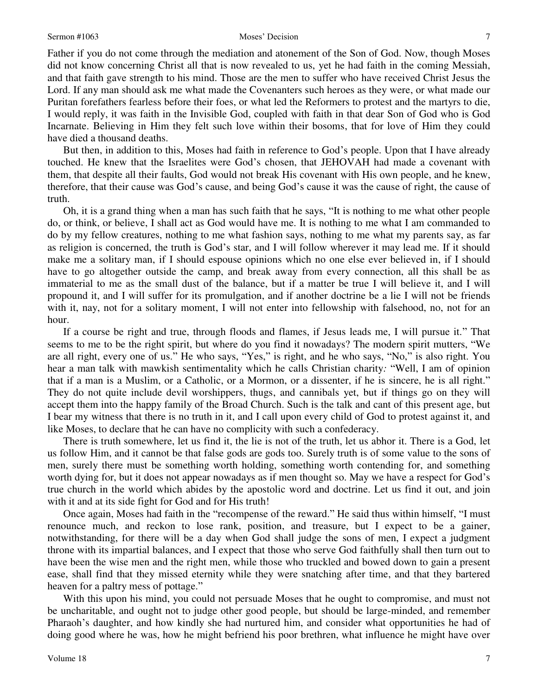### Sermon #1063 Moses' Decision

Father if you do not come through the mediation and atonement of the Son of God. Now, though Moses did not know concerning Christ all that is now revealed to us, yet he had faith in the coming Messiah, and that faith gave strength to his mind. Those are the men to suffer who have received Christ Jesus the Lord. If any man should ask me what made the Covenanters such heroes as they were, or what made our Puritan forefathers fearless before their foes, or what led the Reformers to protest and the martyrs to die, I would reply, it was faith in the Invisible God, coupled with faith in that dear Son of God who is God Incarnate. Believing in Him they felt such love within their bosoms, that for love of Him they could have died a thousand deaths.

But then, in addition to this, Moses had faith in reference to God's people. Upon that I have already touched. He knew that the Israelites were God's chosen, that JEHOVAH had made a covenant with them, that despite all their faults, God would not break His covenant with His own people, and he knew, therefore, that their cause was God's cause, and being God's cause it was the cause of right, the cause of truth.

Oh, it is a grand thing when a man has such faith that he says, "It is nothing to me what other people do, or think, or believe, I shall act as God would have me. It is nothing to me what I am commanded to do by my fellow creatures, nothing to me what fashion says, nothing to me what my parents say, as far as religion is concerned, the truth is God's star, and I will follow wherever it may lead me. If it should make me a solitary man, if I should espouse opinions which no one else ever believed in, if I should have to go altogether outside the camp, and break away from every connection, all this shall be as immaterial to me as the small dust of the balance, but if a matter be true I will believe it, and I will propound it, and I will suffer for its promulgation, and if another doctrine be a lie I will not be friends with it, nay, not for a solitary moment, I will not enter into fellowship with falsehood, no, not for an hour.

If a course be right and true, through floods and flames, if Jesus leads me, I will pursue it." That seems to me to be the right spirit, but where do you find it nowadays? The modern spirit mutters, "We are all right, every one of us." He who says, "Yes," is right, and he who says, "No," is also right. You hear a man talk with mawkish sentimentality which he calls Christian charity*:* "Well, I am of opinion that if a man is a Muslim, or a Catholic, or a Mormon, or a dissenter, if he is sincere, he is all right." They do not quite include devil worshippers, thugs, and cannibals yet, but if things go on they will accept them into the happy family of the Broad Church. Such is the talk and cant of this present age, but I bear my witness that there is no truth in it, and I call upon every child of God to protest against it, and like Moses, to declare that he can have no complicity with such a confederacy.

There is truth somewhere, let us find it, the lie is not of the truth, let us abhor it. There is a God, let us follow Him, and it cannot be that false gods are gods too. Surely truth is of some value to the sons of men, surely there must be something worth holding, something worth contending for, and something worth dying for, but it does not appear nowadays as if men thought so. May we have a respect for God's true church in the world which abides by the apostolic word and doctrine. Let us find it out, and join with it and at its side fight for God and for His truth!

Once again, Moses had faith in the "recompense of the reward." He said thus within himself, "I must renounce much, and reckon to lose rank, position, and treasure, but I expect to be a gainer, notwithstanding, for there will be a day when God shall judge the sons of men, I expect a judgment throne with its impartial balances, and I expect that those who serve God faithfully shall then turn out to have been the wise men and the right men, while those who truckled and bowed down to gain a present ease, shall find that they missed eternity while they were snatching after time, and that they bartered heaven for a paltry mess of pottage."

With this upon his mind, you could not persuade Moses that he ought to compromise, and must not be uncharitable, and ought not to judge other good people, but should be large-minded, and remember Pharaoh's daughter, and how kindly she had nurtured him, and consider what opportunities he had of doing good where he was, how he might befriend his poor brethren, what influence he might have over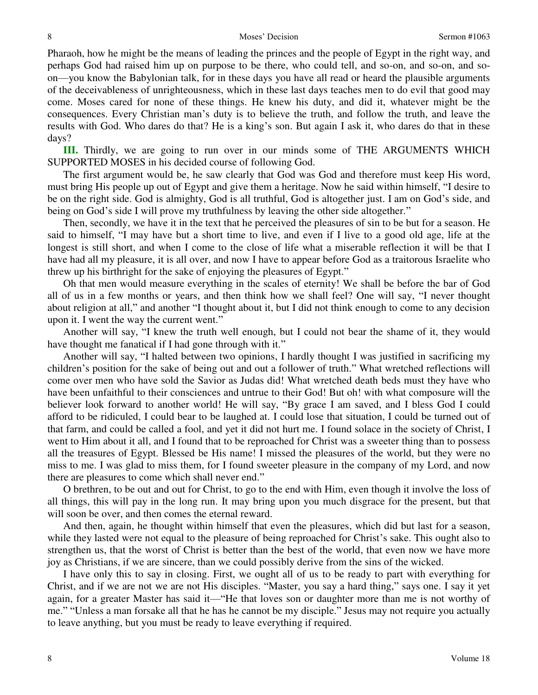Pharaoh, how he might be the means of leading the princes and the people of Egypt in the right way, and perhaps God had raised him up on purpose to be there, who could tell, and so-on, and so-on, and soon—you know the Babylonian talk, for in these days you have all read or heard the plausible arguments of the deceivableness of unrighteousness, which in these last days teaches men to do evil that good may come. Moses cared for none of these things. He knew his duty, and did it, whatever might be the consequences. Every Christian man's duty is to believe the truth, and follow the truth, and leave the results with God. Who dares do that? He is a king's son. But again I ask it, who dares do that in these days?

**III.** Thirdly, we are going to run over in our minds some of THE ARGUMENTS WHICH SUPPORTED MOSES in his decided course of following God.

The first argument would be, he saw clearly that God was God and therefore must keep His word, must bring His people up out of Egypt and give them a heritage. Now he said within himself, "I desire to be on the right side. God is almighty, God is all truthful, God is altogether just. I am on God's side, and being on God's side I will prove my truthfulness by leaving the other side altogether."

Then, secondly, we have it in the text that he perceived the pleasures of sin to be but for a season. He said to himself, "I may have but a short time to live, and even if I live to a good old age, life at the longest is still short, and when I come to the close of life what a miserable reflection it will be that I have had all my pleasure, it is all over, and now I have to appear before God as a traitorous Israelite who threw up his birthright for the sake of enjoying the pleasures of Egypt."

Oh that men would measure everything in the scales of eternity! We shall be before the bar of God all of us in a few months or years, and then think how we shall feel? One will say, "I never thought about religion at all," and another "I thought about it, but I did not think enough to come to any decision upon it. I went the way the current went."

Another will say, "I knew the truth well enough, but I could not bear the shame of it, they would have thought me fanatical if I had gone through with it."

Another will say, "I halted between two opinions, I hardly thought I was justified in sacrificing my children's position for the sake of being out and out a follower of truth." What wretched reflections will come over men who have sold the Savior as Judas did! What wretched death beds must they have who have been unfaithful to their consciences and untrue to their God! But oh! with what composure will the believer look forward to another world! He will say, "By grace I am saved, and I bless God I could afford to be ridiculed, I could bear to be laughed at. I could lose that situation, I could be turned out of that farm, and could be called a fool, and yet it did not hurt me. I found solace in the society of Christ, I went to Him about it all, and I found that to be reproached for Christ was a sweeter thing than to possess all the treasures of Egypt. Blessed be His name! I missed the pleasures of the world, but they were no miss to me. I was glad to miss them, for I found sweeter pleasure in the company of my Lord, and now there are pleasures to come which shall never end."

O brethren, to be out and out for Christ, to go to the end with Him, even though it involve the loss of all things, this will pay in the long run. It may bring upon you much disgrace for the present, but that will soon be over, and then comes the eternal reward.

And then, again, he thought within himself that even the pleasures, which did but last for a season, while they lasted were not equal to the pleasure of being reproached for Christ's sake. This ought also to strengthen us, that the worst of Christ is better than the best of the world, that even now we have more joy as Christians, if we are sincere, than we could possibly derive from the sins of the wicked.

I have only this to say in closing. First, we ought all of us to be ready to part with everything for Christ, and if we are not we are not His disciples. "Master, you say a hard thing," says one. I say it yet again, for a greater Master has said it—"He that loves son or daughter more than me is not worthy of me." "Unless a man forsake all that he has he cannot be my disciple." Jesus may not require you actually to leave anything, but you must be ready to leave everything if required.